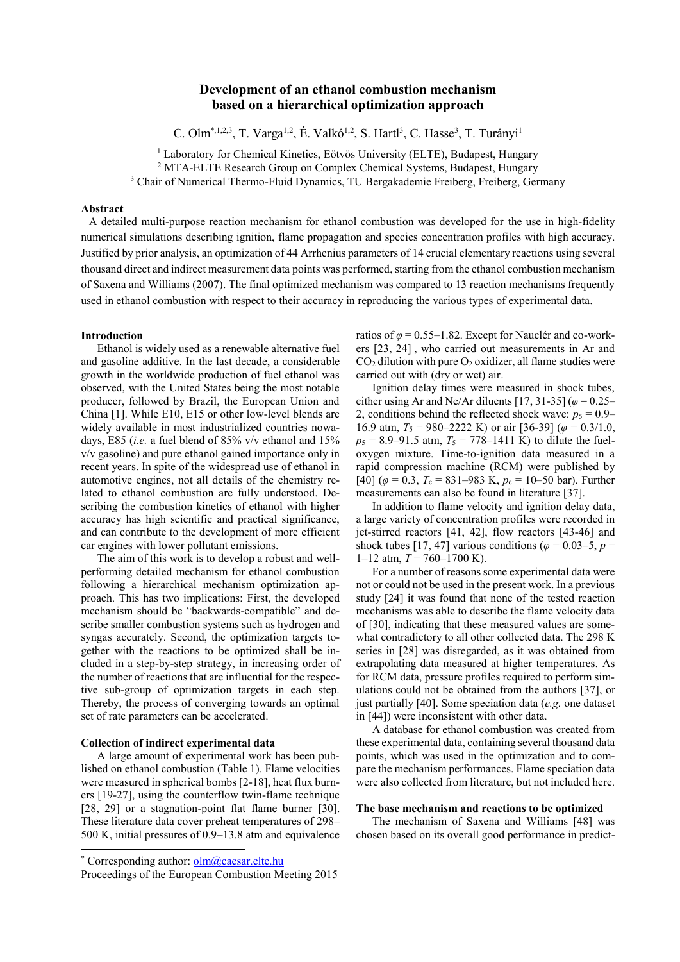# **Development of an ethanol combustion mechanism based on a hierarchical optimization approach**

C. Olm<sup>\*,1,2,3</sup>, T. Varga<sup>1,2</sup>, E. Valkó<sup>1,2</sup>, S. Hartl<sup>3</sup>, C. Hasse<sup>3</sup>, T. Turányi<sup>1</sup>

<sup>1</sup> Laboratory for Chemical Kinetics, Eötvös University (ELTE), Budapest, Hungary

<sup>2</sup> MTA-ELTE Research Group on Complex Chemical Systems, Budapest, Hungary

<sup>3</sup> Chair of Numerical Thermo-Fluid Dynamics, TU Bergakademie Freiberg, Freiberg, Germany

# **Abstract**

A detailed multi-purpose reaction mechanism for ethanol combustion was developed for the use in high-fidelity numerical simulations describing ignition, flame propagation and species concentration profiles with high accuracy. Justified by prior analysis, an optimization of 44 Arrhenius parameters of 14 crucial elementary reactions using several thousand direct and indirect measurement data points was performed, starting from the ethanol combustion mechanism of Saxena and Williams (2007). The final optimized mechanism was compared to 13 reaction mechanisms frequently used in ethanol combustion with respect to their accuracy in reproducing the various types of experimental data.

# **Introduction**

Ethanol is widely used as a renewable alternative fuel and gasoline additive. In the last decade, a considerable growth in the worldwide production of fuel ethanol was observed, with the United States being the most notable producer, followed by Brazil, the European Union and China [\[1\]](#page-5-0). While E10, E15 or other low-level blends are widely available in most industrialized countries nowadays, E85 (*i.e.* a fuel blend of 85% v/v ethanol and 15% v/v gasoline) and pure ethanol gained importance only in recent years. In spite of the widespread use of ethanol in automotive engines, not all details of the chemistry related to ethanol combustion are fully understood. Describing the combustion kinetics of ethanol with higher accuracy has high scientific and practical significance, and can contribute to the development of more efficient car engines with lower pollutant emissions.

The aim of this work is to develop a robust and wellperforming detailed mechanism for ethanol combustion following a hierarchical mechanism optimization approach. This has two implications: First, the developed mechanism should be "backwards-compatible" and describe smaller combustion systems such as hydrogen and syngas accurately. Second, the optimization targets together with the reactions to be optimized shall be included in a step-by-step strategy, in increasing order of the number of reactions that are influential for the respective sub-group of optimization targets in each step. Thereby, the process of converging towards an optimal set of rate parameters can be accelerated.

### **Collection of indirect experimental data**

A large amount of experimental work has been published on ethanol combustion (Table 1). Flame velocities were measured in spherical bombs [\[2-18\]](#page-5-1), heat flux burners [\[19-27\]](#page-5-2), using the counterflow twin-flame technique [\[28,](#page-5-3) [29\]](#page-5-4) or a stagnation-point flat flame burner [\[30\]](#page-5-5). These literature data cover preheat temperatures of 298– 500 K, initial pressures of 0.9–13.8 atm and equivalence

 $\overline{a}$ 

ratios of  $\varphi$  = 0.55–1.82. Except for Nauclér and co-workers [\[23,](#page-5-6) [24\]](#page-5-7) , who carried out measurements in Ar and  $CO<sub>2</sub>$  dilution with pure  $O<sub>2</sub>$  oxidizer, all flame studies were carried out with (dry or wet) air.

Ignition delay times were measured in shock tubes, either using Ar and Ne/Ar diluents [\[17,](#page-5-8) [31-35\]](#page-5-9) (*φ* = 0.25– 2, conditions behind the reflected shock wave:  $p_5 = 0.9$ – 16.9 atm,  $T_5 = 980 - 2222$  K) or air [\[36-39\]](#page-5-10) ( $\varphi = 0.3/1.0$ ,  $p_5 = 8.9 - 91.5$  atm,  $T_5 = 778 - 1411$  K) to dilute the fueloxygen mixture. Time-to-ignition data measured in a rapid compression machine (RCM) were published by [\[40\]](#page-5-11) ( $\varphi$  = 0.3,  $T_c$  = 831–983 K,  $p_c$  = 10–50 bar). Further measurements can also be found in literature [\[37\]](#page-5-12).

In addition to flame velocity and ignition delay data, a large variety of concentration profiles were recorded in jet-stirred reactors [\[41,](#page-5-13) [42\]](#page-5-14), flow reactors [\[43-46\]](#page-5-15) and shock tubes [\[17,](#page-5-8) [47\]](#page-5-16) various conditions ( $\varphi$  = 0.03–5, *p* =  $1-12$  atm,  $T = 760-1700$  K).

For a number of reasons some experimental data were not or could not be used in the present work. In a previous study [\[24\]](#page-5-7) it was found that none of the tested reaction mechanisms was able to describe the flame velocity data of [\[30\]](#page-5-5), indicating that these measured values are somewhat contradictory to all other collected data. The 298 K series in [\[28\]](#page-5-3) was disregarded, as it was obtained from extrapolating data measured at higher temperatures. As for RCM data, pressure profiles required to perform simulations could not be obtained from the authors [\[37\]](#page-5-12), or just partially [\[40\]](#page-5-11). Some speciation data (*e.g.* one dataset in [\[44\]](#page-5-17)) were inconsistent with other data.

A database for ethanol combustion was created from these experimental data, containing several thousand data points, which was used in the optimization and to compare the mechanism performances. Flame speciation data were also collected from literature, but not included here.

### **The base mechanism and reactions to be optimized**

The mechanism of Saxena and Williams [\[48\]](#page-5-18) was chosen based on its overall good performance in predict-

<sup>\*</sup> Corresponding author: **olm@caesar.elte.hu** 

Proceedings of the European Combustion Meeting 2015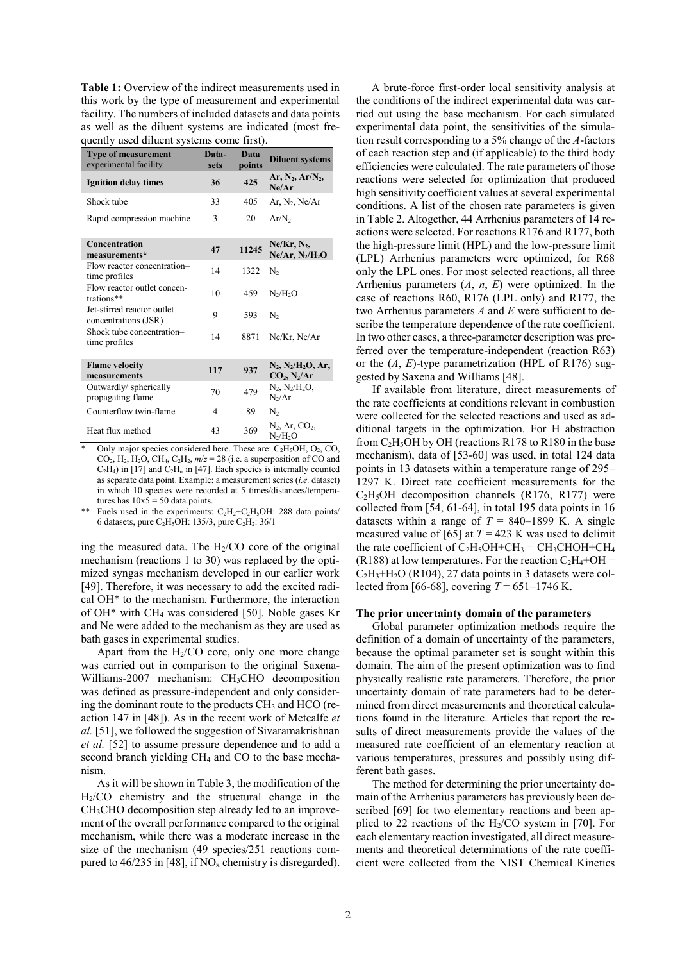**Table 1:** Overview of the indirect measurements used in this work by the type of measurement and experimental facility. The numbers of included datasets and data points as well as the diluent systems are indicated (most frequently used diluent systems come first).

| <b>Type of measurement</b><br>experimental facility | Data-<br>sets | <b>Data</b><br>points | <b>Diluent systems</b>                                       |
|-----------------------------------------------------|---------------|-----------------------|--------------------------------------------------------------|
| <b>Ignition delay times</b>                         | 36            | 425                   | Ar, $N_2$ , Ar/ $N_2$ ,<br>Ne/Ar                             |
| Shock tube                                          | 33            | 405                   | Ar, $N_2$ , $Ne/Ar$                                          |
| Rapid compression machine                           | 3             | 20                    | Ar/N <sub>2</sub>                                            |
| Concentration<br>measurements*                      | 47            | 11245                 | $Ne/Kr, N_2,$<br>$Ne/Ar, N_2/H_2O$                           |
| Flow reactor concentration-<br>time profiles        | 14            | 1322                  | $N_2$                                                        |
| Flow reactor outlet concen-<br>trations**           | 10            | 459                   | $N_2/H_2O$                                                   |
| Jet-stirred reactor outlet<br>concentrations (JSR)  | 9             | 593                   | N <sub>2</sub>                                               |
| Shock tube concentration-<br>time profiles          | 14            | 8871                  | Ne/Kr, Ne/Ar                                                 |
| <b>Flame</b> velocity<br>measurements               | 117           | 937                   | $N_2, N_2/H_2O, Ar,$<br>CO <sub>2</sub> , N <sub>2</sub> /Ar |
| Outwardly/ spherically<br>propagating flame         | 70            | 479                   | $N_2, N_2/H_2O,$<br>$N_2/Ar$                                 |
| Counterflow twin-flame                              | 4             | 89                    | $N_{2}$                                                      |
| Heat flux method                                    | 43            | 369                   | $N_2$ , Ar, $CO_2$ ,<br>$N_2/H_2O$                           |

Only major species considered here. These are:  $C_2H_5OH$ ,  $O_2$ ,  $CO$ ,  $CO<sub>2</sub>$ , H<sub>2</sub>, H<sub>2</sub>O, CH<sub>4</sub>, C<sub>2</sub>H<sub>2</sub>,  $m/z = 28$  (i.e. a superposition of CO and  $C_2H_4$ ) in [\[17\]](#page-5-8) and  $C_2H_n$  in [\[47\]](#page-5-16). Each species is internally counted as separate data point. Example: a measurement series (*i.e.* dataset) in which 10 species were recorded at 5 times/distances/temperatures has  $10x5 = 50$  data points.

Fuels used in the experiments:  $C_2H_2+C_2H_5OH$ : 288 data points/ 6 datasets, pure C<sub>2</sub>H<sub>5</sub>OH: 135/3, pure C<sub>2</sub>H<sub>2</sub>: 36/1

ing the measured data. The  $H<sub>2</sub>/CO$  core of the original mechanism (reactions 1 to 30) was replaced by the optimized syngas mechanism developed in our earlier work [\[49\]](#page-5-19). Therefore, it was necessary to add the excited radical OH\* to the mechanism. Furthermore, the interaction of OH\* with CH<sup>4</sup> was considered [\[50\]](#page-5-20). Noble gases Kr and Ne were added to the mechanism as they are used as bath gases in experimental studies.

Apart from the  $H<sub>2</sub>/CO$  core, only one more change was carried out in comparison to the original Saxena-Williams-2007 mechanism: CH<sub>3</sub>CHO decomposition was defined as pressure-independent and only considering the dominant route to the products  $CH<sub>3</sub>$  and HCO (reaction 147 in [\[48\]](#page-5-18)). As in the recent work of Metcalfe *et al.* [\[51\]](#page-5-21), we followed the suggestion of Sivaramakrishnan *et al.* [\[52\]](#page-5-22) to assume pressure dependence and to add a second branch yielding CH<sup>4</sup> and CO to the base mechanism.

As it will be shown in Table 3, the modification of the H2/CO chemistry and the structural change in the CH3CHO decomposition step already led to an improvement of the overall performance compared to the original mechanism, while there was a moderate increase in the size of the mechanism (49 species/251 reactions compared to  $46/235$  in [\[48\]](#page-5-18), if NO<sub>x</sub> chemistry is disregarded).

A brute-force first-order local sensitivity analysis at the conditions of the indirect experimental data was carried out using the base mechanism. For each simulated experimental data point, the sensitivities of the simulation result corresponding to a 5% change of the *A*-factors of each reaction step and (if applicable) to the third body efficiencies were calculated. The rate parameters of those reactions were selected for optimization that produced high sensitivity coefficient values at several experimental conditions. A list of the chosen rate parameters is given in Table 2. Altogether, 44 Arrhenius parameters of 14 reactions were selected. For reactions R176 and R177, both the high-pressure limit (HPL) and the low-pressure limit (LPL) Arrhenius parameters were optimized, for R68 only the LPL ones. For most selected reactions, all three Arrhenius parameters (*A*, *n*, *E*) were optimized. In the case of reactions R60, R176 (LPL only) and R177, the two Arrhenius parameters *A* and *E* were sufficient to describe the temperature dependence of the rate coefficient. In two other cases, a three-parameter description was preferred over the temperature-independent (reaction R63) or the (*A*, *E*)-type parametrization (HPL of R176) suggested by Saxena and Williams [\[48\]](#page-5-18).

If available from literature, direct measurements of the rate coefficients at conditions relevant in combustion were collected for the selected reactions and used as additional targets in the optimization. For H abstraction from  $C_2H_5OH$  by OH (reactions R178 to R180 in the base mechanism), data of [\[53-60\]](#page-5-23) was used, in total 124 data points in 13 datasets within a temperature range of 295– 1297 K. Direct rate coefficient measurements for the  $C<sub>2</sub>H<sub>5</sub>OH$  decomposition channels (R176, R177) were collected from [\[54,](#page-5-24) [61-64\]](#page-5-25), in total 195 data points in 16 datasets within a range of  $T = 840 - 1899$  K. A single measured value of [\[65\]](#page-5-26) at  $T = 423$  K was used to delimit the rate coefficient of  $C_2H_5OH+CH_3 = CH_3CHOH+CH_4$ (R188) at low temperatures. For the reaction  $C_2H_4+OH =$  $C_2H_3+H_2O$  (R104), 27 data points in 3 datasets were col-lected from [\[66-68\]](#page-5-27), covering  $T = 651 - 1746$  K.

### **The prior uncertainty domain of the parameters**

Global parameter optimization methods require the definition of a domain of uncertainty of the parameters, because the optimal parameter set is sought within this domain. The aim of the present optimization was to find physically realistic rate parameters. Therefore, the prior uncertainty domain of rate parameters had to be determined from direct measurements and theoretical calculations found in the literature. Articles that report the results of direct measurements provide the values of the measured rate coefficient of an elementary reaction at various temperatures, pressures and possibly using different bath gases.

The method for determining the prior uncertainty domain of the Arrhenius parameters has previously been described [\[69\]](#page-5-28) for two elementary reactions and been applied to 22 reactions of the  $H<sub>2</sub>/CO$  system in [\[70\]](#page-5-29). For each elementary reaction investigated, all direct measurements and theoretical determinations of the rate coefficient were collected from the NIST Chemical Kinetics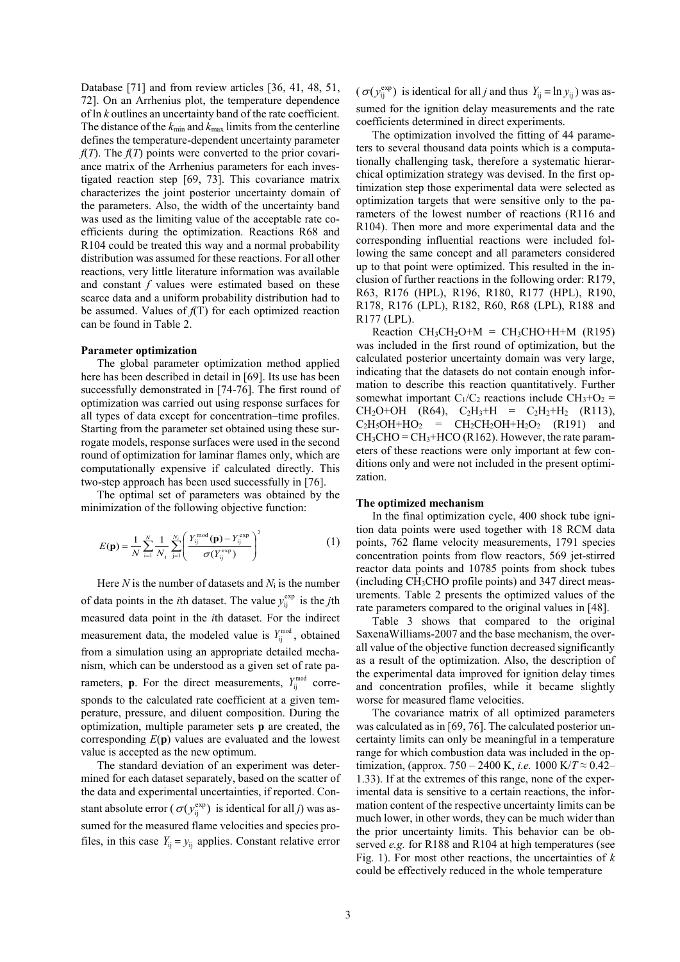Database [\[71\]](#page-5-30) and from review articles [\[36,](#page-5-10) [41,](#page-5-13) [48,](#page-5-18) [51,](#page-5-21) [72\]](#page-5-31). On an Arrhenius plot, the temperature dependence of ln *k* outlines an uncertainty band of the rate coefficient. The distance of the  $k_{min}$  and  $k_{max}$  limits from the centerline defines the temperature-dependent uncertainty parameter  $f(T)$ . The  $f(T)$  points were converted to the prior covariance matrix of the Arrhenius parameters for each investigated reaction step [\[69,](#page-5-28) [73\]](#page-5-32). This covariance matrix characterizes the joint posterior uncertainty domain of the parameters. Also, the width of the uncertainty band was used as the limiting value of the acceptable rate coefficients during the optimization. Reactions R68 and R104 could be treated this way and a normal probability distribution was assumed for these reactions. For all other reactions, very little literature information was available and constant *f* values were estimated based on these scarce data and a uniform probability distribution had to be assumed. Values of *f*(T) for each optimized reaction can be found in Table 2.

### **Parameter optimization**

The global parameter optimization method applied here has been described in detail in [\[69\]](#page-5-28). Its use has been successfully demonstrated in [\[74-76\]](#page-5-33). The first round of optimization was carried out using response surfaces for all types of data except for concentration–time profiles. Starting from the parameter set obtained using these surrogate models, response surfaces were used in the second round of optimization for laminar flames only, which are computationally expensive if calculated directly. This two-step approach has been used successfully in [\[76\]](#page-5-34).

The optimal set of parameters was obtained by the minimization of the following objective function:

$$
E(\mathbf{p}) = \frac{1}{N} \sum_{i=1}^{N} \frac{1}{N_i} \sum_{j=1}^{N_i} \left( \frac{Y_{ij}^{\text{mod}}(\mathbf{p}) - Y_{ij}^{\text{exp}}}{\sigma(Y_{ij}^{\text{exp}})} \right)^2
$$
(1)

Here  $N$  is the number of datasets and  $N_i$  is the number of data points in the *i*th dataset. The value  $y_{ij}^{\text{exp}}$  is the *j*th measured data point in the *i*th dataset. For the indirect measurement data, the modeled value is  $Y_{ij}^{\text{mod}}$ , obtained from a simulation using an appropriate detailed mechanism, which can be understood as a given set of rate parameters, **p**. For the direct measurements,  $Y_{ij}^{\text{mod}}$  corresponds to the calculated rate coefficient at a given temperature, pressure, and diluent composition. During the optimization, multiple parameter sets **p** are created, the corresponding *E*(**p**) values are evaluated and the lowest value is accepted as the new optimum.

The standard deviation of an experiment was determined for each dataset separately, based on the scatter of the data and experimental uncertainties, if reported. Constant absolute error ( $\sigma(y_{ij}^{\text{exp}})$  is identical for all *j*) was assumed for the measured flame velocities and species profiles, in this case  $Y_{ij} = y_{ij}$  applies. Constant relative error

 $(\sigma(y_{ij}^{exp})$  is identical for all *j* and thus  $Y_{ij} = \ln y_{ij}$ ) was assumed for the ignition delay measurements and the rate coefficients determined in direct experiments.

The optimization involved the fitting of 44 parameters to several thousand data points which is a computationally challenging task, therefore a systematic hierarchical optimization strategy was devised. In the first optimization step those experimental data were selected as optimization targets that were sensitive only to the parameters of the lowest number of reactions (R116 and R104). Then more and more experimental data and the corresponding influential reactions were included following the same concept and all parameters considered up to that point were optimized. This resulted in the inclusion of further reactions in the following order: R179, R63, R176 (HPL), R196, R180, R177 (HPL), R190, R178, R176 (LPL), R182, R60, R68 (LPL), R188 and R177 (LPL).

Reaction  $CH_3CH_2O+M = CH_3CHO+H+M$  (R195) was included in the first round of optimization, but the calculated posterior uncertainty domain was very large, indicating that the datasets do not contain enough information to describe this reaction quantitatively. Further somewhat important  $C_1/C_2$  reactions include  $CH_3+O_2$  =  $CH_2O+OH$  (R64),  $C_2H_3+H = C_2H_2+H_2$  (R113),  $C_2H_5OH+HO_2 = CH_2CH_2OH+H_2O_2$  (R191) and  $CH<sub>3</sub>CHO = CH<sub>3</sub>+HCO (R162)$ . However, the rate parameters of these reactions were only important at few conditions only and were not included in the present optimization.

#### **The optimized mechanism**

In the final optimization cycle, 400 shock tube ignition data points were used together with 18 RCM data points, 762 flame velocity measurements, 1791 species concentration points from flow reactors, 569 jet-stirred reactor data points and 10785 points from shock tubes (including CH3CHO profile points) and 347 direct measurements. Table 2 presents the optimized values of the rate parameters compared to the original values in [\[48\]](#page-5-18).

Table 3 shows that compared to the original SaxenaWilliams-2007 and the base mechanism, the overall value of the objective function decreased significantly as a result of the optimization. Also, the description of the experimental data improved for ignition delay times and concentration profiles, while it became slightly worse for measured flame velocities.

The covariance matrix of all optimized parameters was calculated as in [\[69,](#page-5-28) [76\]](#page-5-34). The calculated posterior uncertainty limits can only be meaningful in a temperature range for which combustion data was included in the optimization, (approx. 750 – 2400 K, *i.e.* 1000 K/ $T \approx 0.42$ – 1.33). If at the extremes of this range, none of the experimental data is sensitive to a certain reactions, the information content of the respective uncertainty limits can be much lower, in other words, they can be much wider than the prior uncertainty limits. This behavior can be observed *e.g.* for R188 and R104 at high temperatures (see Fig. 1). For most other reactions, the uncertainties of *k* could be effectively reduced in the whole temperature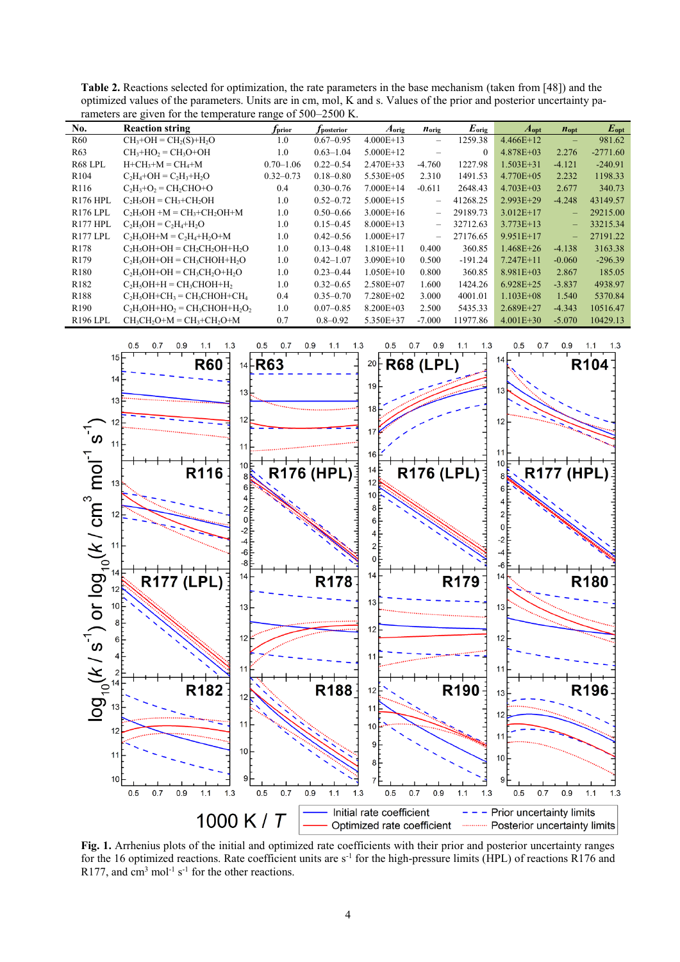| rancelly are given for the temperature range of $300-2300$ K. |                                     |                 |                        |                   |                          |                |                  |                          |               |
|---------------------------------------------------------------|-------------------------------------|-----------------|------------------------|-------------------|--------------------------|----------------|------------------|--------------------------|---------------|
| No.                                                           | <b>Reaction string</b>              | $f_{\rm prior}$ | r <sub>posterior</sub> | $A_{\text{orig}}$ | <i>n</i> <sub>orig</sub> | $E_{\rm orig}$ | $A_{\text{opt}}$ | <i>n</i> <sub>opt</sub>  | $E_{\rm opt}$ |
| R <sub>60</sub>                                               | $CH3+OH = CH2(S)+H2O$               | 1.0             | $0.67 - 0.95$          | $4.000E+13$       | $\overline{\phantom{0}}$ | 1259.38        | $4.466E+12$      | $\qquad \qquad -$        | 981.62        |
| R <sub>63</sub>                                               | $CH3+HO2 = CH3O+OH$                 | 1.0             | $0.63 - 1.04$          | $5.000E+12$       |                          | $\Omega$       | $4.878E + 03$    | 2.276                    | $-2771.60$    |
| R68 LPL                                                       | $H + CH3+M = CH4+M$                 | $0.70 - 1.06$   | $0.22 - 0.54$          | 2.470E+33         | $-4.760$                 | 1227.98        | $1.503E + 31$    | $-4.121$                 | $-240.91$     |
| R <sub>104</sub>                                              | $C_2H_4+OH = C_2H_3+H_2O$           | $0.32 - 0.73$   | $0.18 - 0.80$          | 5.530E+05         | 2.310                    | 1491.53        | $4.770E + 05$    | 2.232                    | 1198.33       |
| R <sub>116</sub>                                              | $C_2H_3+O_2 = CH_2CHO+O$            | 0.4             | $0.30 - 0.76$          | $7.000E+14$       | $-0.611$                 | 2648.43        | $4.703E + 03$    | 2.677                    | 340.73        |
| <b>R176 HPL</b>                                               | $C_2H_5OH = CH_3 + CH_2OH$          | 1.0             | $0.52 - 0.72$          | $5.000E+15$       | $\overline{\phantom{0}}$ | 41268.25       | $2.993E + 29$    | $-4.248$                 | 43149.57      |
| <b>R176 LPL</b>                                               | $C_2H_5OH + M = CH_3 + CH_2OH + M$  | 1.0             | $0.50 - 0.66$          | $3.000E + 16$     | $\overline{\phantom{0}}$ | 29189.73       | $3.012E+17$      | $\qquad \qquad -$        | 29215.00      |
| R <sub>177</sub> HPL                                          | $C_2H_5OH = C_2H_4 + H_2O$          | 1.0             | $0.15 - 0.45$          | $8.000E + 13$     | $\overline{\phantom{0}}$ | 32712.63       | $3.773E+13$      | $\overline{\phantom{0}}$ | 33215.34      |
| R <sub>177</sub> LPL                                          | $C_2H_5OH+M = C_2H_4+H_2O+M$        | 1.0             | $0.42 - 0.56$          | $1.000E+17$       | $\overline{\phantom{0}}$ | 27176.65       | 9.951E+17        | $\overline{\phantom{0}}$ | 27191.22      |
| R178                                                          | $C_2H_5OH+OH = CH_2CH_2OH+H_2O$     | 1.0             | $0.13 - 0.48$          | $1.810E+11$       | 0.400                    | 360.85         | $1.468E + 26$    | $-4.138$                 | 3163.38       |
| R179                                                          | $C_2H_5OH+OH = CH_3CHOH+H_2O$       | 1.0             | $0.42 - 1.07$          | $3.090E+10$       | 0.500                    | $-191.24$      | $7.247E+11$      | $-0.060$                 | $-296.39$     |
| R <sub>180</sub>                                              | $C_2H_5OH+OH = CH_3CH_2O+H_2O$      | 1.0             | $0.23 - 0.44$          | $1.050E+10$       | 0.800                    | 360.85         | $8.981E + 03$    | 2.867                    | 185.05        |
| R <sub>182</sub>                                              | $C_2H_5OH+H = CH_3CHOH+H_2$         | 1.0             | $0.32 - 0.65$          | 2.580E+07         | 1.600                    | 1424.26        | $6.928E+25$      | $-3.837$                 | 4938.97       |
| R <sub>188</sub>                                              | $C_2H_5OH + CH_3 = CH_3CHOH + CH_4$ | 0.4             | $0.35 - 0.70$          | 7.280E+02         | 3.000                    | 4001.01        | $1.103E + 08$    | 1.540                    | 5370.84       |
| R <sub>190</sub>                                              | $C_2H_5OH+HO_2 = CH_3CHOH+H_2O_2$   | 1.0             | $0.07 - 0.85$          | $8.200E + 03$     | 2.500                    | 5435.33        | $2.689E + 27$    | $-4.343$                 | 10516.47      |
| <b>R196 LPL</b>                                               | $CH_3CH_2O+M = CH_3 + CH_2O+M$      | 0.7             | $0.8 - 0.92$           | 5.350E+37         | $-7.000$                 | 11977.86       | $4.001E + 30$    | $-5.070$                 | 10429.13      |

**Table 2.** Reactions selected for optimization, the rate parameters in the base mechanism (taken from [\[48\]](#page-5-18)) and the optimized values of the parameters. Units are in cm, mol, K and s. Values of the prior and posterior uncertainty parameters are given for the temperature range of 500–2500 K.



**Fig. 1.** Arrhenius plots of the initial and optimized rate coefficients with their prior and posterior uncertainty ranges for the 16 optimized reactions. Rate coefficient units are  $s^{-1}$  for the high-pressure limits (HPL) of reactions R176 and R177, and  $\text{cm}^3$  mol<sup>-1</sup> s<sup>-1</sup> for the other reactions.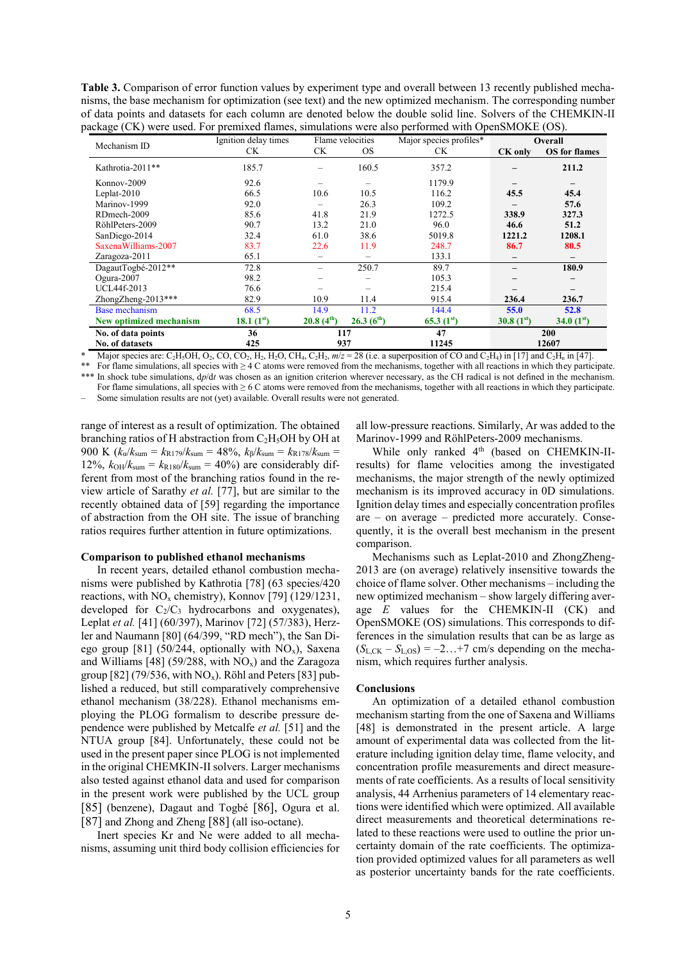**Table 3.** Comparison of error function values by experiment type and overall between 13 recently published mechanisms, the base mechanism for optimization (see text) and the new optimized mechanism. The corresponding number of data points and datasets for each column are denoted below the double solid line. Solvers of the CHEMKIN-II package (CK) were used. For premixed flames, simulations were also performed with OpenSMOKE (OS).

| Mechanism ID            | Ignition delay times |                        | Major species profiles*<br>Flame velocities |                 | Overall                  |                      |  |
|-------------------------|----------------------|------------------------|---------------------------------------------|-----------------|--------------------------|----------------------|--|
|                         | <b>CK</b>            | CK                     | <b>OS</b>                                   | <b>CK</b>       | CK only                  | <b>OS</b> for flames |  |
| Kathrotia-2011**        | 185.7                |                        | 160.5                                       | 357.2           |                          | 211.2                |  |
| Konnov-2009             | 92.6                 |                        |                                             | 1179.9          |                          |                      |  |
| Leplat- $2010$          | 66.5                 | 10.6                   | 10.5                                        | 116.2           | 45.5                     | 45.4                 |  |
| Marinov-1999            | 92.0                 |                        | 26.3                                        | 109.2           |                          | 57.6                 |  |
| RDmech-2009             | 85.6                 | 41.8                   | 21.9                                        | 1272.5          | 338.9                    | 327.3                |  |
| RöhlPeters-2009         | 90.7                 | 13.2                   | 21.0                                        | 96.0            | 46.6                     | 51.2                 |  |
| SanDiego-2014           | 32.4                 | 61.0                   | 38.6                                        | 5019.8          | 1221.2                   | 1208.1               |  |
| Saxena Williams-2007    | 83.7                 | 22.6                   | 11.9                                        | 248.7           | 86.7                     | 80.5                 |  |
| Zaragoza-2011           | 65.1                 |                        |                                             | 133.1           | $\overline{\phantom{0}}$ |                      |  |
| DagautTogbé-2012**      | 72.8                 |                        | 250.7                                       | 89.7            |                          | 180.9                |  |
| Ogura-2007              | 98.2                 |                        |                                             | 105.3           |                          |                      |  |
| <b>UCL44f-2013</b>      | 76.6                 |                        |                                             | 215.4           |                          |                      |  |
| ZhongZheng-2013***      | 82.9                 | 10.9                   | 11.4                                        | 915.4           | 236.4                    | 236.7                |  |
| <b>Base mechanism</b>   | 68.5                 | 14.9                   | 11.2                                        | 144.4           | 55.0                     | 52.8                 |  |
| New optimized mechanism | 18.1 $(1^{st})$      | 20.8(4 <sup>th</sup> ) | 26.3(6 <sup>th</sup> )                      | 65.3 $(1^{st})$ | 30.8 $(1^{st})$          | 34.0 $(1st)$         |  |
| No. of data points      | 36                   |                        | 117                                         | 47              | 200                      |                      |  |
| No. of datasets         | 425                  |                        | 937                                         |                 | 12607                    |                      |  |

<sup>\*</sup> Major species are: C<sub>2</sub>H<sub>5</sub>OH, O<sub>2</sub>, CO, CO<sub>2</sub>, H<sub>2</sub>, H<sub>2</sub>O, CH<sub>4</sub>, C<sub>2</sub>H<sub>2</sub>, *m*/*z* = 28 (i.e. a superposition of CO and C<sub>2</sub>H<sub>4</sub>) in [\[17\]](#page-5-8) and C<sub>2</sub>H<sub>n</sub> in [\[47\]](#page-5-16). For flame simulations, all species with  $\geq 4$  C atoms were removed from the mechanisms, together with all reactions in which they participate.

\*\*\* In shock tube simulations, d*p*/d*t* was chosen as an ignition criterion wherever necessary, as the CH radical is not defined in the mechanism. For flame simulations, all species with ≥ 6 C atoms were removed from the mechanisms, together with all reactions in which they participate. – Some simulation results are not (yet) available. Overall results were not generated.

range of interest as a result of optimization. The obtained branching ratios of H abstraction from  $C_2H_5OH$  by OH at 900 K  $(k_{\alpha}/k_{\text{sum}} = k_{\text{R179}}/k_{\text{sum}} = 48\%, k_{\beta}/k_{\text{sum}} = k_{\text{R178}}/k_{\text{sum}} =$ 12%,  $k_{OH}/k_{sum} = k_{R180}/k_{sum} = 40\%$  are considerably different from most of the branching ratios found in the review article of Sarathy *et al.* [\[77\]](#page-5-35), but are similar to the recently obtained data of [\[59\]](#page-5-36) regarding the importance of abstraction from the OH site. The issue of branching ratios requires further attention in future optimizations.

### **Comparison to published ethanol mechanisms**

In recent years, detailed ethanol combustion mechanisms were published by Kathrotia [\[78\]](#page-5-37) (63 species/420 reactions, with  $NO<sub>x</sub>$  chemistry), Konnov [\[79\]](#page-5-38) (129/1231, developed for  $C_2/C_3$  hydrocarbons and oxygenates), Leplat *et al.* [\[41\]](#page-5-13) (60/397), Marinov [\[72\]](#page-5-31) (57/383), Herzler and Naumann [\[80\]](#page-5-39) (64/399, "RD mech"), the San Di-ego group [\[81\]](#page-5-40) (50/244, optionally with  $NO<sub>x</sub>$ ), Saxena and Williams [\[48\]](#page-5-18) (59/288, with  $NO<sub>x</sub>$ ) and the Zaragoza group [\[82\]](#page-5-41) (79/536, with  $NO_x$ ). Röhl and Peters [\[83\]](#page-5-42) published a reduced, but still comparatively comprehensive ethanol mechanism (38/228). Ethanol mechanisms employing the PLOG formalism to describe pressure dependence were published by Metcalfe *et al.* [\[51\]](#page-5-21) and the NTUA group [\[84\]](#page-5-43). Unfortunately, these could not be used in the present paper since PLOG is not implemented in the original CHEMKIN-II solvers. Larger mechanisms also tested against ethanol data and used for comparison in the present work were published by the UCL group [\[85\]](#page-5-44) (benzene), Dagaut and Togbé [\[86\]](#page-5-45), Ogura et al. [\[87\]](#page-5-46) and Zhong and Zheng [\[88\]](#page-5-47) (all iso-octane).

Inert species Kr and Ne were added to all mechanisms, assuming unit third body collision efficiencies for all low-pressure reactions. Similarly, Ar was added to the Marinov-1999 and RöhlPeters-2009 mechanisms.

While only ranked 4<sup>th</sup> (based on CHEMKIN-IIresults) for flame velocities among the investigated mechanisms, the major strength of the newly optimized mechanism is its improved accuracy in 0D simulations. Ignition delay times and especially concentration profiles are – on average – predicted more accurately. Consequently, it is the overall best mechanism in the present comparison.

Mechanisms such as Leplat-2010 and ZhongZheng-2013 are (on average) relatively insensitive towards the choice of flame solver. Other mechanisms – including the new optimized mechanism – show largely differing average *E* values for the CHEMKIN-II (CK) and OpenSMOKE (OS) simulations. This corresponds to differences in the simulation results that can be as large as  $(S_{L,CK} - S_{L,OS}) = -2...+7$  cm/s depending on the mechanism, which requires further analysis.

### **Conclusions**

An optimization of a detailed ethanol combustion mechanism starting from the one of Saxena and Williams [\[48\]](#page-5-18) is demonstrated in the present article. A large amount of experimental data was collected from the literature including ignition delay time, flame velocity, and concentration profile measurements and direct measurements of rate coefficients. As a results of local sensitivity analysis, 44 Arrhenius parameters of 14 elementary reactions were identified which were optimized. All available direct measurements and theoretical determinations related to these reactions were used to outline the prior uncertainty domain of the rate coefficients. The optimization provided optimized values for all parameters as well as posterior uncertainty bands for the rate coefficients.